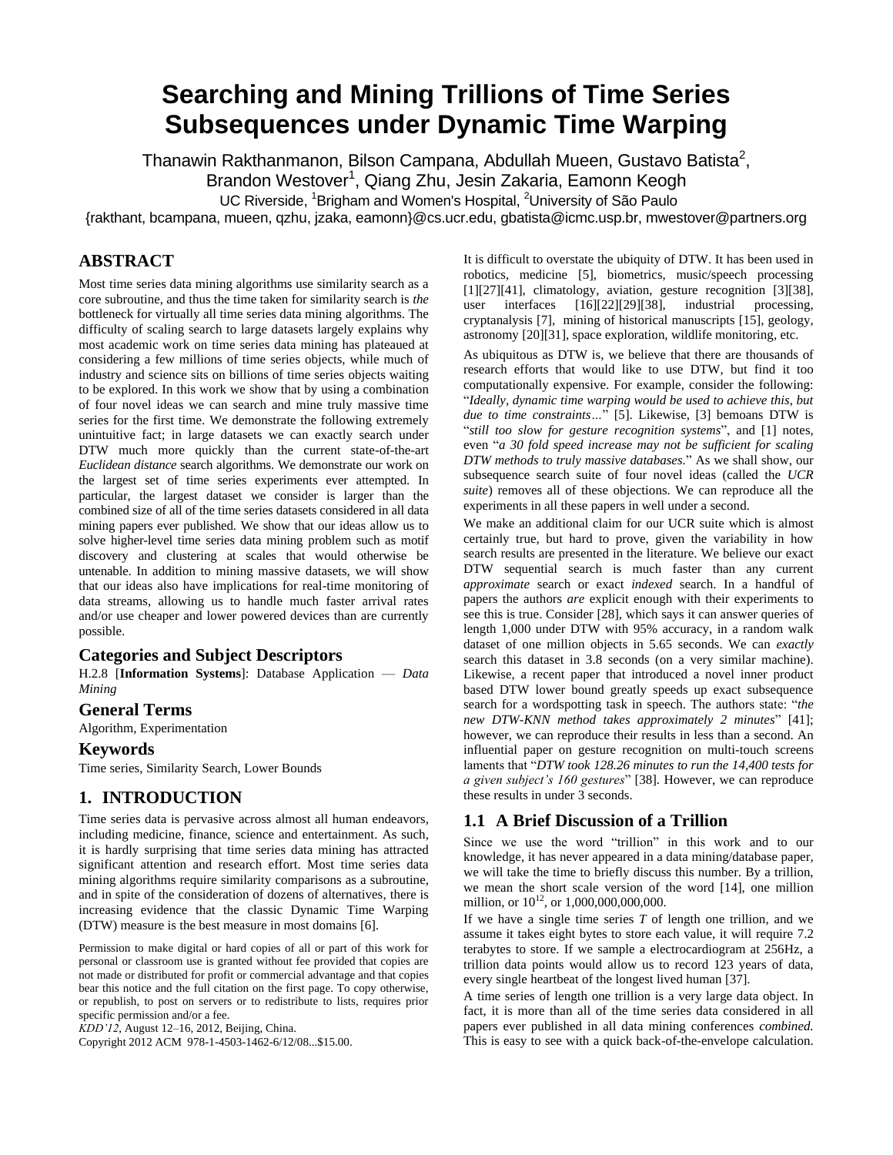# **Searching and Mining Trillions of Time Series Subsequences under Dynamic Time Warping**

Thanawin Rakthanmanon, Bilson Campana, Abdullah Mueen, Gustavo Batista<sup>2</sup>,

Brandon Westover<sup>1</sup>, Qiang Zhu, Jesin Zakaria, Eamonn Keogh

UC Riverside, <sup>1</sup>Brigham and Women's Hospital, <sup>2</sup>University of São Paulo

{rakthant, bcampana, mueen, qzhu, jzaka, eamonn}@cs.ucr.edu, gbatista@icmc.usp.br, mwestover@partners.org

# **ABSTRACT**

Most time series data mining algorithms use similarity search as a core subroutine, and thus the time taken for similarity search is *the* bottleneck for virtually all time series data mining algorithms. The difficulty of scaling search to large datasets largely explains why most academic work on time series data mining has plateaued at considering a few millions of time series objects, while much of industry and science sits on billions of time series objects waiting to be explored. In this work we show that by using a combination of four novel ideas we can search and mine truly massive time series for the first time. We demonstrate the following extremely unintuitive fact; in large datasets we can exactly search under DTW much more quickly than the current state-of-the-art *Euclidean distance* search algorithms. We demonstrate our work on the largest set of time series experiments ever attempted. In particular, the largest dataset we consider is larger than the combined size of all of the time series datasets considered in all data mining papers ever published. We show that our ideas allow us to solve higher-level time series data mining problem such as motif discovery and clustering at scales that would otherwise be untenable. In addition to mining massive datasets, we will show that our ideas also have implications for real-time monitoring of data streams, allowing us to handle much faster arrival rates and/or use cheaper and lower powered devices than are currently possible.

# **Categories and Subject Descriptors**

H.2.8 [**Information Systems**]: Database Application — *Data Mining*

## **General Terms**

Algorithm, Experimentation

## **Keywords**

Time series, Similarity Search, Lower Bounds

# **1. INTRODUCTION**

Time series data is pervasive across almost all human endeavors, including medicine, finance, science and entertainment. As such, it is hardly surprising that time series data mining has attracted significant attention and research effort. Most time series data mining algorithms require similarity comparisons as a subroutine, and in spite of the consideration of dozens of alternatives, there is increasing evidence that the classic Dynamic Time Warping (DTW) measure is the best measure in most domains [\[6\].](#page-8-0) 

Permission to make digital or hard copies of all or part of this work for personal or classroom use is granted without fee provided that copies are not made or distributed for profit or commercial advantage and that copies bear this notice and the full citation on the first page. To copy otherwise, or republish, to post on servers or to redistribute to lists, requires prior specific permission and/or a fee.

*KDD'12*, August 12–16, 2012, Beijing, China.

Copyright 2012 ACM 978-1-4503-1462-6/12/08...\$15.00.

It is difficult to overstate the ubiquity of DTW. It has been used in robotics, medicine [\[5\],](#page-8-1) biometrics, music/speech processing [\[1\]\[27\]](#page-8-2)[\[41\],](#page-8-3) climatology, aviation, gesture recognition [\[3\]\[38\],](#page-8-4) user interfaces [\[16\]\[22\]](#page-8-5)[\[29\]\[38\],](#page-8-6) industrial processing, cryptanalysis [\[7\],](#page-8-7) mining of historical manuscripts [\[15\],](#page-8-8) geology, astronomy [\[20\]\[31\],](#page-8-9) space exploration, wildlife monitoring, etc.

As ubiquitous as DTW is, we believe that there are thousands of research efforts that would like to use DTW, but find it too computationally expensive. For example, consider the following: "*Ideally, dynamic time warping would be used to achieve this, but due to time constraints…*" [\[5\].](#page-8-1) Likewise, [\[3\]](#page-8-4) bemoans DTW is "*still too slow for gesture recognition systems*", and [\[1\]](#page-8-2) notes, even "*a 30 fold speed increase may not be sufficient for scaling DTW methods to truly massive databases.*" As we shall show, our subsequence search suite of four novel ideas (called the *UCR suite*) removes all of these objections. We can reproduce all the experiments in all these papers in well under a second.

We make an additional claim for our UCR suite which is almost certainly true, but hard to prove, given the variability in how search results are presented in the literature. We believe our exact DTW sequential search is much faster than any current *approximate* search or exact *indexed* search. In a handful of papers the authors *are* explicit enough with their experiments to see this is true. Consider [\[28\],](#page-8-10) which says it can answer queries of length 1,000 under DTW with 95% accuracy, in a random walk dataset of one million objects in 5.65 seconds. We can *exactly* search this dataset in 3.8 seconds (on a very similar machine). Likewise, a recent paper that introduced a novel inner product based DTW lower bound greatly speeds up exact subsequence search for a wordspotting task in speech. The authors state: "*the new DTW-KNN method takes approximately 2 minutes*" [\[41\];](#page-8-3) however, we can reproduce their results in less than a second. An influential paper on gesture recognition on multi-touch screens laments that "*DTW took 128.26 minutes to run the 14,400 tests for a given subject's 160 gestures*" [\[38\].](#page-8-11) However, we can reproduce these results in under 3 seconds.

# **1.1 A Brief Discussion of a Trillion**

Since we use the word "trillion" in this work and to our knowledge, it has never appeared in a data mining/database paper, we will take the time to briefly discuss this number. By a trillion, we mean the short scale version of the word [\[14\],](#page-8-12) one million million, or  $10^{12}$ , or 1,000,000,000,000.

If we have a single time series *T* of length one trillion, and we assume it takes eight bytes to store each value, it will require 7.2 terabytes to store. If we sample a electrocardiogram at 256Hz, a trillion data points would allow us to record 123 years of data, every single heartbeat of the longest lived human [\[37\].](#page-8-13) 

A time series of length one trillion is a very large data object. In fact, it is more than all of the time series data considered in all papers ever published in all data mining conferences *combined.* This is easy to see with a quick back-of-the-envelope calculation.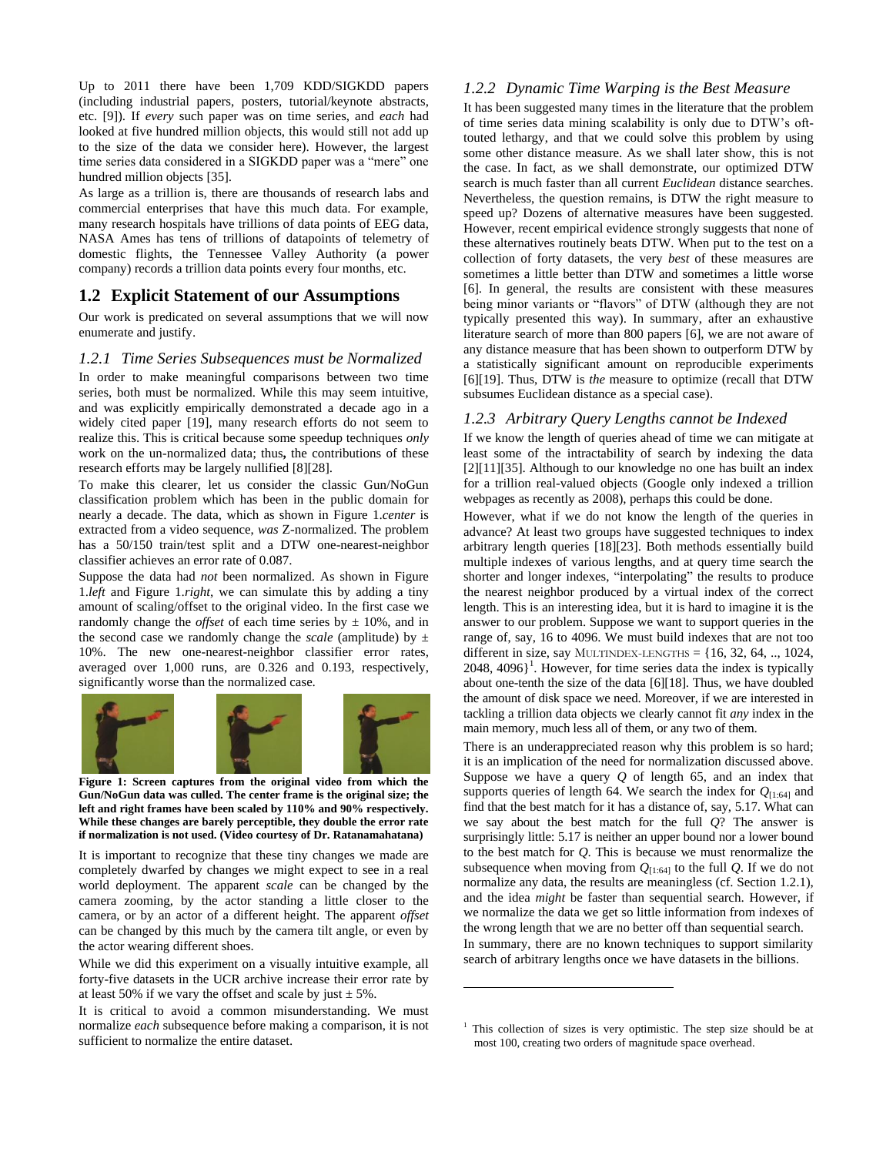Up to 2011 there have been 1,709 KDD/SIGKDD papers (including industrial papers, posters, tutorial/keynote abstracts, etc. [\[9\]\)](#page-8-14). If *every* such paper was on time series, and *each* had looked at five hundred million objects, this would still not add up to the size of the data we consider here). However, the largest time series data considered in a SIGKDD paper was a "mere" one hundred million object[s \[35\].](#page-8-15)

As large as a trillion is, there are thousands of research labs and commercial enterprises that have this much data. For example, many research hospitals have trillions of data points of EEG data, NASA Ames has tens of trillions of datapoints of telemetry of domestic flights, the Tennessee Valley Authority (a power company) records a trillion data points every four months, etc.

## **1.2 Explicit Statement of our Assumptions**

Our work is predicated on several assumptions that we will now enumerate and justify.

## <span id="page-1-1"></span>*1.2.1 Time Series Subsequences must be Normalized*

In order to make meaningful comparisons between two time series, both must be normalized. While this may seem intuitive, and was explicitly empirically demonstrated a decade ago in a widely cited paper [\[19\],](#page-8-16) many research efforts do not seem to realize this. This is critical because some speedup techniques *only* work on the un-normalized data; thus**,** the contributions of these research efforts may be largely nullified [\[8\]\[28\].](#page-8-17)

To make this clearer, let us consider the classic Gun/NoGun classification problem which has been in the public domain for nearly a decade. The data, which as shown in [Figure 1.](#page-1-0)*center* is extracted from a video sequence, *was* Z-normalized. The problem has a 50/150 train/test split and a DTW one-nearest-neighbor classifier achieves an error rate of 0.087.

Suppose the data had *not* been normalized. As shown in [Figure](#page-1-0)  [1.](#page-1-0)*left* and [Figure 1.](#page-1-0)*right*, we can simulate this by adding a tiny amount of scaling/offset to the original video. In the first case we randomly change the *offset* of each time series by  $\pm$  10%, and in the second case we randomly change the *scale* (amplitude) by  $\pm$ 10%. The new one-nearest-neighbor classifier error rates, averaged over 1,000 runs, are 0.326 and 0.193, respectively, significantly worse than the normalized case.



<span id="page-1-0"></span>**Figure 1: Screen captures from the original video from which the Gun/NoGun data was culled. The center frame is the original size; the left and right frames have been scaled by 110% and 90% respectively. While these changes are barely perceptible, they double the error rate if normalization is not used. (Video courtesy of Dr. Ratanamahatana)** 

It is important to recognize that these tiny changes we made are completely dwarfed by changes we might expect to see in a real world deployment. The apparent *scale* can be changed by the camera zooming, by the actor standing a little closer to the camera, or by an actor of a different height. The apparent *offset* can be changed by this much by the camera tilt angle, or even by the actor wearing different shoes.

While we did this experiment on a visually intuitive example, all forty-five datasets in the UCR archive increase their error rate by at least 50% if we vary the offset and scale by just  $\pm$  5%.

It is critical to avoid a common misunderstanding. We must normalize *each* subsequence before making a comparison, it is not sufficient to normalize the entire dataset.

## *1.2.2 Dynamic Time Warping is the Best Measure*

It has been suggested many times in the literature that the problem of time series data mining scalability is only due to DTW's ofttouted lethargy, and that we could solve this problem by using some other distance measure. As we shall later show, this is not the case. In fact, as we shall demonstrate, our optimized DTW search is much faster than all current *Euclidean* distance searches. Nevertheless, the question remains, is DTW the right measure to speed up? Dozens of alternative measures have been suggested. However, recent empirical evidence strongly suggests that none of these alternatives routinely beats DTW. When put to the test on a collection of forty datasets, the very *best* of these measures are sometimes a little better than DTW and sometimes a little worse [\[6\].](#page-8-0) In general, the results are consistent with these measures being minor variants or "flavors" of DTW (although they are not typically presented this way). In summary, after an exhaustive literature search of more than 800 papers [\[6\],](#page-8-0) we are not aware of any distance measure that has been shown to outperform DTW by a statistically significant amount on reproducible experiments [\[6\]\[19\].](#page-8-0) Thus, DTW is *the* measure to optimize (recall that DTW subsumes Euclidean distance as a special case).

### *1.2.3 Arbitrary Query Lengths cannot be Indexed*

If we know the length of queries ahead of time we can mitigate at least some of the intractability of search by indexing the data [\[2\]\[11\]](#page-8-18)[\[35\].](#page-8-15) Although to our knowledge no one has built an index for a trillion real-valued objects (Google only indexed a trillion webpages as recently as 2008), perhaps this could be done.

However, what if we do not know the length of the queries in advance? At least two groups have suggested techniques to index arbitrary length queries [\[18\]\[23\].](#page-8-19) Both methods essentially build multiple indexes of various lengths, and at query time search the shorter and longer indexes, "interpolating" the results to produce the nearest neighbor produced by a virtual index of the correct length. This is an interesting idea, but it is hard to imagine it is the answer to our problem. Suppose we want to support queries in the range of, say, 16 to 4096. We must build indexes that are not too different in size, say MULTINDEX-LENGTHS  $=$  {16, 32, 64, .., 1024,  $2048, 4096$ <sup>1</sup>. However, for time series data the index is typically about one-tenth the size of the data [\[6\]\[18\].](#page-8-0) Thus, we have doubled the amount of disk space we need. Moreover, if we are interested in tackling a trillion data objects we clearly cannot fit *any* index in the main memory, much less all of them, or any two of them.

There is an underappreciated reason why this problem is so hard; it is an implication of the need for normalization discussed above. Suppose we have a query *Q* of length 65, and an index that supports queries of length 64. We search the index for  $Q_{[1:64]}$  and find that the best match for it has a distance of, say, 5.17. What can we say about the best match for the full *Q*? The answer is surprisingly little: 5.17 is neither an upper bound nor a lower bound to the best match for *Q*. This is because we must renormalize the subsequence when moving from  $Q_{[1:64]}$  to the full  $Q$ . If we do not normalize any data, the results are meaningless (cf. Sectio[n 1.2.1\)](#page-1-1), and the idea *might* be faster than sequential search. However, if we normalize the data we get so little information from indexes of the wrong length that we are no better off than sequential search. In summary, there are no known techniques to support similarity search of arbitrary lengths once we have datasets in the billions.

 $\overline{a}$ 

<sup>&</sup>lt;sup>1</sup> This collection of sizes is very optimistic. The step size should be at most 100, creating two orders of magnitude space overhead.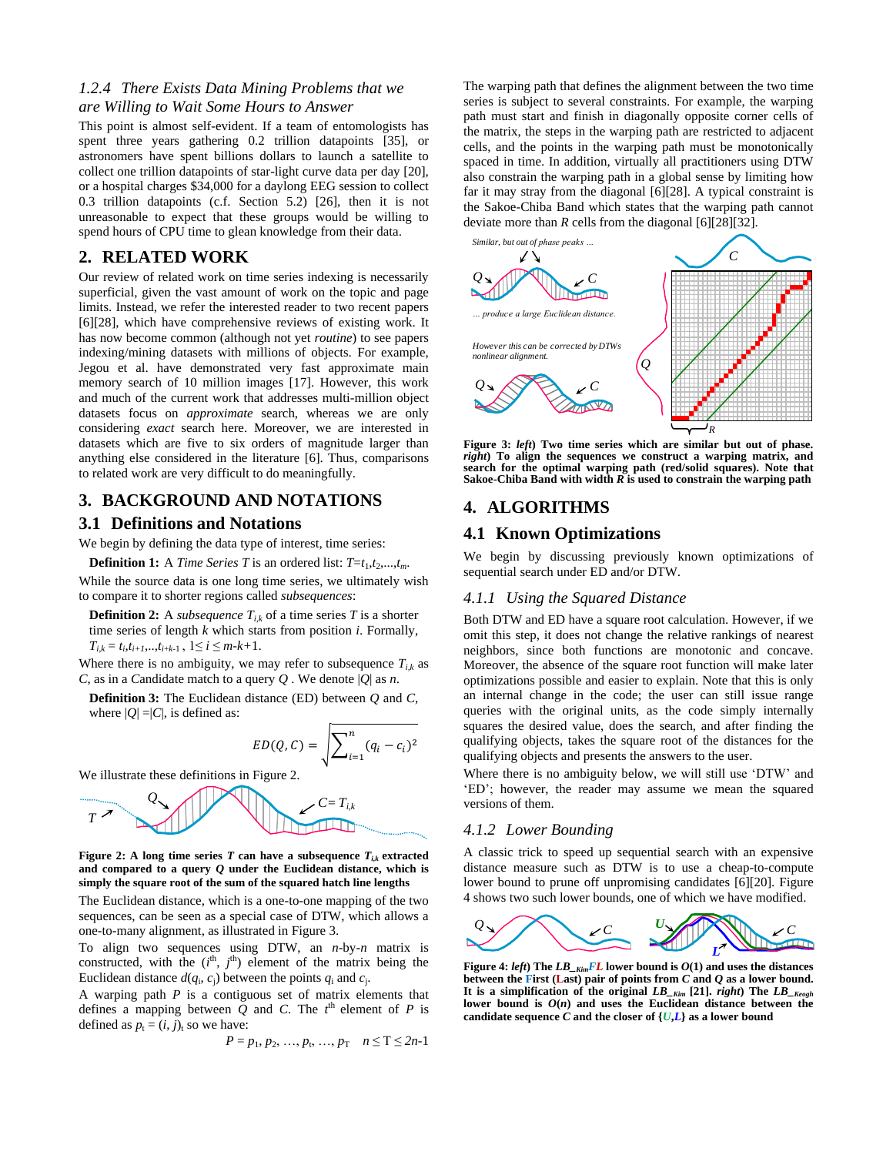## *1.2.4 There Exists Data Mining Problems that we are Willing to Wait Some Hours to Answer*

This point is almost self-evident. If a team of entomologists has spent three years gathering 0.2 trillion datapoints [\[35\],](#page-8-15) or astronomers have spent billions dollars to launch a satellite to collect one trillion datapoints of star-light curve data per day [\[20\],](#page-8-9) or a hospital charges \$34,000 for a daylong EEG session to collect 0.3 trillion datapoints (c.f. Section [5.2\)](#page-5-0) [\[26\],](#page-8-20) then it is not unreasonable to expect that these groups would be willing to spend hours of CPU time to glean knowledge from their data.

# **2. RELATED WORK**

Our review of related work on time series indexing is necessarily superficial, given the vast amount of work on the topic and page limits. Instead, we refer the interested reader to two recent papers [\[6\]\[28\],](#page-8-0) which have comprehensive reviews of existing work. It has now become common (although not yet *routine*) to see papers indexing/mining datasets with millions of objects. For example, Jegou et al. have demonstrated very fast approximate main memory search of 10 million images [\[17\].](#page-8-21) However, this work and much of the current work that addresses multi-million object datasets focus on *approximate* search, whereas we are only considering *exact* search here. Moreover, we are interested in datasets which are five to six orders of magnitude larger than anything else considered in the literature [\[6\].](#page-8-0) Thus, comparisons to related work are very difficult to do meaningfully.

# **3. BACKGROUND AND NOTATIONS**

## **3.1 Definitions and Notations**

We begin by defining the data type of interest, time series:

**Definition 1:** A *Time Series T* is an ordered list:  $T=t_1,t_2,...,t_m$ . While the source data is one long time series, we ultimately wish to compare it to shorter regions called *subsequences*:

**Definition 2:** A *subsequence*  $T_{ik}$  of a time series  $T$  is a shorter time series of length *k* which starts from position *i*. Formally,  $T_{i,k} = t_i, t_{i+1}, \ldots, t_{i+k-1}, 1 \le i \le m-k+1.$ 

Where there is no ambiguity, we may refer to subsequence  $T_{i,k}$  as *C*, as in a *Candidate match to a query Q*. We denote  $|Q|$  as *n*.

**Definition 3:** The Euclidean distance (ED) between *Q* and *C*, where  $|Q| = |C|$ , is defined as:

$$
ED(Q, C) = \sqrt{\sum_{i=1}^{n} (q_i - c_i)^2}
$$

We illustrate these definitions i[n Figure 2.](#page-2-0) 



#### <span id="page-2-0"></span>**Figure 2:** A long time series *T* can have a subsequence  $T_{ik}$  extracted **and compared to a query** *Q* **under the Euclidean distance, which is simply the square root of the sum of the squared hatch line lengths**

The Euclidean distance, which is a one-to-one mapping of the two sequences, can be seen as a special case of DTW, which allows a one-to-many alignment, as illustrated in [Figure 3.](#page-2-1)

To align two sequences using DTW, an *n*-by-*n* matrix is constructed, with the  $(i<sup>th</sup>, j<sup>th</sup>)$  element of the matrix being the Euclidean distance  $d(q_i, c_j)$  between the points  $q_i$  and  $c_j$ .

A warping path *P* is a contiguous set of matrix elements that defines a mapping between  $\overline{Q}$  and  $\overline{C}$ . The  $t^{\text{th}}$  element of  $P$  is defined as  $p_t = (i, j)_t$  so we have:

$$
P = p_1, p_2, ..., p_t, ..., p_T \quad n \le T \le 2n-1
$$

The warping path that defines the alignment between the two time series is subject to several constraints. For example, the warping path must start and finish in diagonally opposite corner cells of the matrix, the steps in the warping path are restricted to adjacent cells, and the points in the warping path must be monotonically spaced in time. In addition, virtually all practitioners using DTW also constrain the warping path in a global sense by limiting how far it may stray from the diagonal [\[6\]\[28\].](#page-8-0) A typical constraint is the Sakoe-Chiba Band which states that the warping path cannot deviate more than *R* cells from the diagona[l \[6\]\[28\]](#page-8-0)[\[32\].](#page-8-22)



<span id="page-2-1"></span>**Figure 3:** *left***) Two time series which are similar but out of phase.**  *right***) To align the sequences we construct a warping matrix, and search for the optimal warping path (red/solid squares). Note that Sakoe-Chiba Band with width** *R* **is used to constrain the warping path**

## **4. ALGORITHMS**

## **4.1 Known Optimizations**

We begin by discussing previously known optimizations of sequential search under ED and/or DTW.

#### *4.1.1 Using the Squared Distance*

Both DTW and ED have a square root calculation. However, if we omit this step, it does not change the relative rankings of nearest neighbors, since both functions are monotonic and concave. Moreover, the absence of the square root function will make later optimizations possible and easier to explain. Note that this is only an internal change in the code; the user can still issue range queries with the original units, as the code simply internally squares the desired value, does the search, and after finding the qualifying objects, takes the square root of the distances for the qualifying objects and presents the answers to the user.

Where there is no ambiguity below, we will still use 'DTW' and 'ED'; however, the reader may assume we mean the squared versions of them.

#### <span id="page-2-3"></span>*4.1.2 Lower Bounding*

A classic trick to speed up sequential search with an expensive distance measure such as DTW is to use a cheap-to-compute lower bound to prune off unpromising candidates [\[6\]\[20\].](#page-8-0) [Figure](#page-2-2)  [4](#page-2-2) shows two such lower bounds, one of which we have modified.



<span id="page-2-2"></span>**Figure 4:** *left*) The  $LB_{\text{Kim}}FL$  lower bound is  $O(1)$  and uses the distances **between the First (Last) pair of points from** *C* **and** *Q* **as a lower bound.** It is a simplification of the original  $LB_{\text{...Kim}}$  [\[21\].](#page-8-23) *right*) The  $LB_{\text{...Keepgh}}$ lower bound is  $O(n)$  and uses the Euclidean distance between the **candidate sequence** *C* **and the closer of**  $\{U, L\}$  **as a lower bound**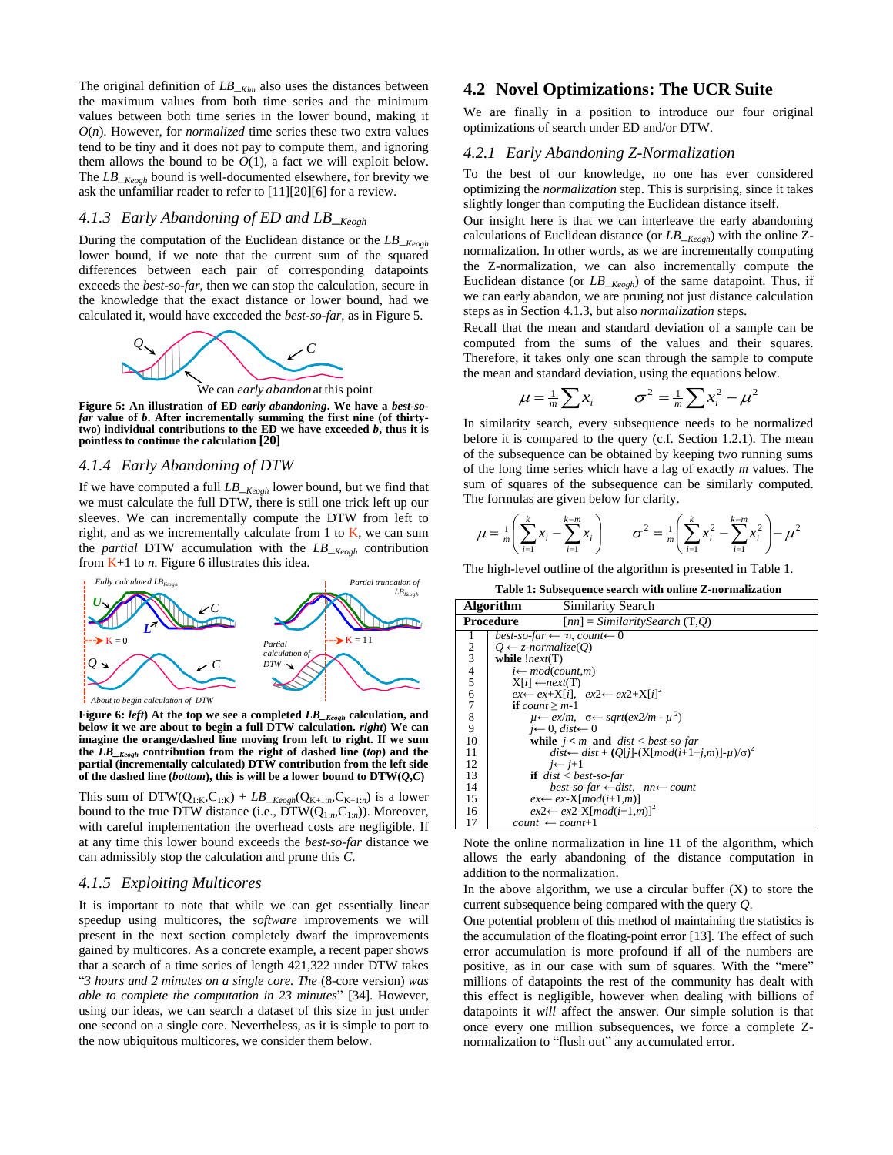The original definition of *LB\_Kim* also uses the distances between the maximum values from both time series and the minimum values between both time series in the lower bound, making it  $O(n)$ . However, for *normalized* time series these two extra values tend to be tiny and it does not pay to compute them, and ignoring them allows the bound to be  $O(1)$ , a fact we will exploit below. The *LB\_Keogh* bound is well-documented elsewhere, for brevity we ask the unfamiliar reader to refer t[o \[11\]\[20\]](#page-8-24)[\[6\]](#page-8-0) for a review.

#### <span id="page-3-2"></span>*4.1.3 Early Abandoning of ED and LB\_Keogh*

During the computation of the Euclidean distance or the *LB\_Keogh* lower bound, if we note that the current sum of the squared differences between each pair of corresponding datapoints exceeds the *best-so-far*, then we can stop the calculation, secure in the knowledge that the exact distance or lower bound, had we calculated it, would have exceeded the *best-so-far*, as i[n Figure 5.](#page-3-0)



<span id="page-3-0"></span>**Figure 5: An illustration of ED** *early abandoning***. We have a** *best-sofar* **value of** *b***. After incrementally summing the first nine (of thirtytwo) individual contributions to the ED we have exceeded** *b***, thus it is pointless to continue the calculation [\[20\]](#page-8-9)**

#### <span id="page-3-5"></span>*4.1.4 Early Abandoning of DTW*

If we have computed a full *LB\_Keogh* lower bound, but we find that we must calculate the full DTW, there is still one trick left up our sleeves. We can incrementally compute the DTW from left to right, and as we incrementally calculate from  $1$  to  $K$ , we can sum the *partial* DTW accumulation with the *LB\_Keogh* contribution from K+1 to *n*[. Figure 6](#page-3-1) illustrates this idea.



<span id="page-3-1"></span>**Figure 6:** *left***) At the top we see a completed** *LB\_Keogh* **calculation, and below it we are about to begin a full DTW calculation.** *right***) We can imagine the orange/dashed line moving from left to right. If we sum the** *LB\_Keogh* **contribution from the right of dashed line (***top***) and the partial (incrementally calculated) DTW contribution from the left side**  of the dashed line (*bottom*), this is will be a lower bound to  $DTW(Q,C)$ 

This sum of  $DTW(Q_{1:K},C_{1:K})$  +  $LB_{\text{—}Keogh}(Q_{K+1:n},C_{K+1:n})$  is a lower bound to the true DTW distance (i.e., DTW(Q1:*n*,C1:*n*)). Moreover, with careful implementation the overhead costs are negligible. If at any time this lower bound exceeds the *best-so-far* distance we can admissibly stop the calculation and prune this *C*.

#### *4.1.5 Exploiting Multicores*

It is important to note that while we can get essentially linear speedup using multicores, the *software* improvements we will present in the next section completely dwarf the improvements gained by multicores. As a concrete example, a recent paper shows that a search of a time series of length 421,322 under DTW takes "*3 hours and 2 minutes on a single core. The* (8-core version) *was able to complete the computation in 23 minutes*" [\[34\].](#page-8-25) However, using our ideas, we can search a dataset of this size in just under one second on a single core. Nevertheless, as it is simple to port to the now ubiquitous multicores, we consider them below.

# **4.2 Novel Optimizations: The UCR Suite**

We are finally in a position to introduce our four original optimizations of search under ED and/or DTW.

#### <span id="page-3-4"></span>*4.2.1 Early Abandoning Z-Normalization*

To the best of our knowledge, no one has ever considered optimizing the *normalization* step. This is surprising, since it takes slightly longer than computing the Euclidean distance itself.

Our insight here is that we can interleave the early abandoning calculations of Euclidean distance (or *LB\_Keogh*) with the online Znormalization. In other words, as we are incrementally computing the Z-normalization, we can also incrementally compute the Euclidean distance (or *LB\_Keogh*) of the same datapoint. Thus, if we can early abandon, we are pruning not just distance calculation steps as in Sectio[n 4.1.3,](#page-3-2) but also *normalization* steps.

Recall that the mean and standard deviation of a sample can be computed from the sums of the values and their squares. Therefore, it takes only one scan through the sample to compute the mean and standard deviation, using the equations below.

$$
t = \frac{1}{m} \sum x_i
$$
  $\sigma^2 = \frac{1}{m} \sum x_i^2 - \mu^2$ 

 $\mu$ 

In similarity search, every subsequence needs to be normalized before it is compared to the query (c.f. Section [1.2.1\)](#page-1-1). The mean of the subsequence can be obtained by keeping two running sums of the long time series which have a lag of exactly *m* values. The sum of squares of the subsequence can be similarly computed. The formulas are given below for clarity.

$$
\mu = \frac{1}{m} \left( \sum_{i=1}^{k} x_i - \sum_{i=1}^{k-m} x_i \right) \qquad \sigma^2 = \frac{1}{m} \left( \sum_{i=1}^{k} x_i^2 - \sum_{i=1}^{k-m} x_i^2 \right) - \mu^2
$$

<span id="page-3-3"></span>The high-level outline of the algorithm is presented i[n Table 1.](#page-3-3)

**Table 1: Subsequence search with online Z-normalization**

| <b>Algorithm</b><br>Similarity Search |                  |                                                                        |
|---------------------------------------|------------------|------------------------------------------------------------------------|
|                                       | <b>Procedure</b> | $[nn]$ = SimilaritySearch $(T, O)$                                     |
|                                       |                  | best-so-far $\leftarrow \infty$ , count $\leftarrow 0$                 |
|                                       |                  | $Q \leftarrow$ z-normalize(O)                                          |
|                                       | while $!next(T)$ |                                                                        |
|                                       |                  | $i \leftarrow \text{mod}(count,m)$                                     |
|                                       |                  | $X[i] \leftarrow next(T)$                                              |
|                                       |                  | $ex \leftarrow ex+X[i], ex2 \leftarrow ex2+X[i]^2$                     |
|                                       |                  | <b>if</b> count $\geq m-1$                                             |
| $\frac{1}{2}$ 3 4 5 6 7 8 9           |                  | $\mu \leftarrow e \chi / m$ , $\sigma \leftarrow sqrt(ex2/m - \mu^2)$  |
|                                       |                  | $i \leftarrow 0$ , dist $\leftarrow 0$                                 |
| 10                                    |                  | while $i < m$ and $dist < best$ -so-far                                |
| 11                                    |                  | $dist \leftarrow dist + (Q[i] \cdot (X[mod(i+1+j,m)] - \mu)/\sigma)^2$ |
| 12                                    |                  | $i \leftarrow j+1$                                                     |
| 13                                    |                  | <b>if</b> $dist < best$ -so-far                                        |
| 14                                    |                  | best-so-far $\leftarrow$ dist, nn $\leftarrow$ count                   |
| 15                                    |                  | $ex \leftarrow ex-X \left[ mod(i+1,m) \right]$                         |
| 16                                    |                  | $ex2 \leftarrow ex2-X [mod(i+1,m)]^2$                                  |
| 17                                    |                  | $count \leftarrow count + 1$                                           |

Note the online normalization in line 11 of the algorithm, which allows the early abandoning of the distance computation in addition to the normalization.

In the above algorithm, we use a circular buffer  $(X)$  to store the current subsequence being compared with the query *Q*.

One potential problem of this method of maintaining the statistics is the accumulation of the floating-point error [\[13\].](#page-8-26) The effect of such error accumulation is more profound if all of the numbers are positive, as in our case with sum of squares. With the "mere" millions of datapoints the rest of the community has dealt with this effect is negligible, however when dealing with billions of datapoints it *will* affect the answer. Our simple solution is that once every one million subsequences, we force a complete Znormalization to "flush out" any accumulated error.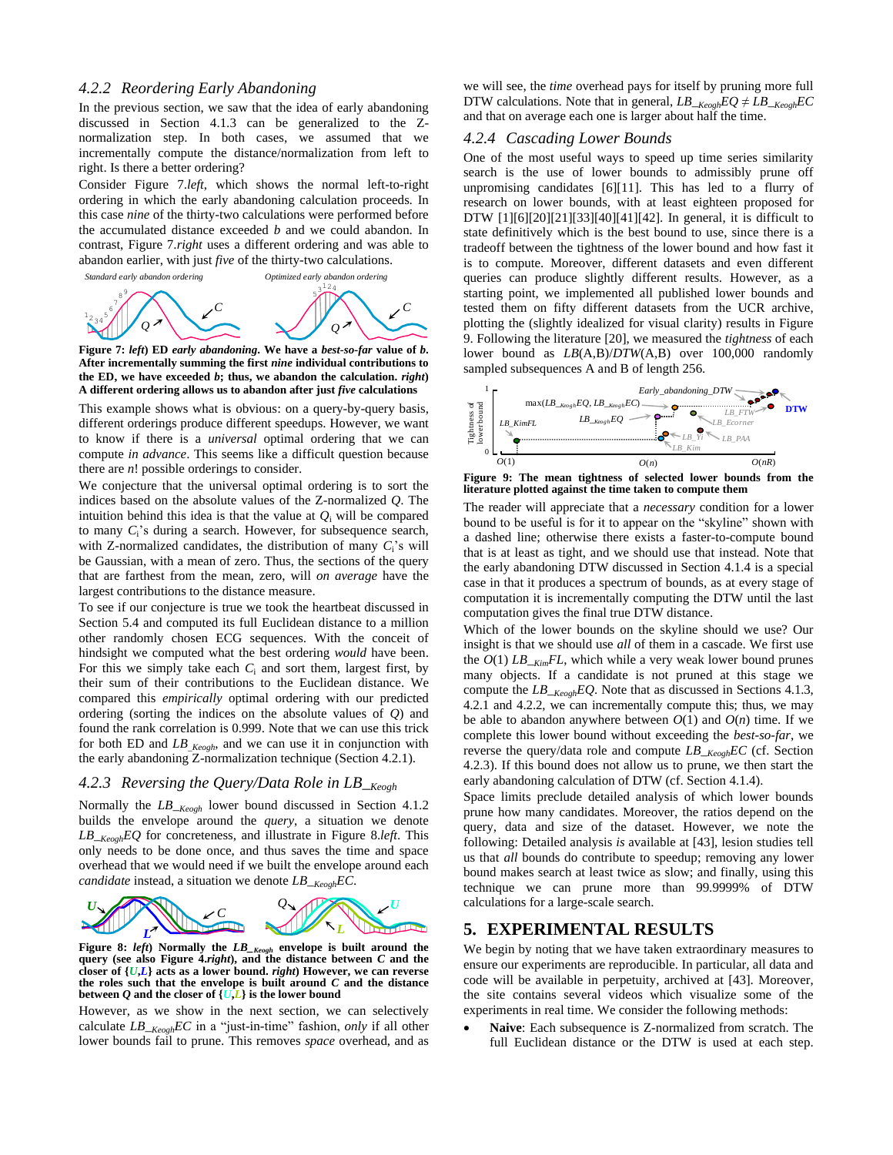#### <span id="page-4-3"></span>*4.2.2 Reordering Early Abandoning*

In the previous section, we saw that the idea of early abandoning discussed in Section [4.1.3](#page-3-2) can be generalized to the Znormalization step. In both cases, we assumed that we incrementally compute the distance/normalization from left to right. Is there a better ordering?

Consider [Figure 7.](#page-4-0)*left*, which shows the normal left-to-right ordering in which the early abandoning calculation proceeds. In this case *nine* of the thirty-two calculations were performed before the accumulated distance exceeded *b* and we could abandon. In contrast, [Figure 7.](#page-4-0)*right* uses a different ordering and was able to abandon earlier, with just *five* of the thirty-two calculations.

*C* / / / *C Q Q* 1 3  $^{2}$  34 6 5 7 9 8 3 5  $124$ *Standard early abandon ordering Optimized early abandon ordering* 

<span id="page-4-0"></span>**Figure 7:** *left***) ED** *early abandoning***. We have a** *best-so-far* **value of** *b***. After incrementally summing the first** *nine* **individual contributions to the ED, we have exceeded** *b***; thus, we abandon the calculation.** *right***) A different ordering allows us to abandon after just** *five* **calculations**

This example shows what is obvious: on a query-by-query basis, different orderings produce different speedups. However, we want to know if there is a *universal* optimal ordering that we can compute *in advance*. This seems like a difficult question because there are *n*! possible orderings to consider.

We conjecture that the universal optimal ordering is to sort the indices based on the absolute values of the Z-normalized *Q*. The intuition behind this idea is that the value at  $O_i$  will be compared to many  $C_i$ 's during a search. However, for subsequence search, with Z-normalized candidates, the distribution of many  $C_i$ 's will be Gaussian, with a mean of zero. Thus, the sections of the query that are farthest from the mean, zero, will *on average* have the largest contributions to the distance measure.

To see if our conjecture is true we took the heartbeat discussed in Section [5.4](#page-6-0) and computed its full Euclidean distance to a million other randomly chosen ECG sequences. With the conceit of hindsight we computed what the best ordering *would* have been. For this we simply take each  $C_i$  and sort them, largest first, by their sum of their contributions to the Euclidean distance. We compared this *empirically* optimal ordering with our predicted ordering (sorting the indices on the absolute values of *Q*) and found the rank correlation is 0.999. Note that we can use this trick for both ED and *LB\_Keogh*, and we can use it in conjunction with the early abandoning Z-normalization technique (Section [4.2.1\)](#page-3-4).

#### <span id="page-4-4"></span>*4.2.3 Reversing the Query/Data Role in LB\_Keogh*

Normally the *LB*\_*Keogh* lower bound discussed in Section [4.1.2](#page-2-3) builds the envelope around the *query*, a situation we denote *LB\_KeoghEQ* for concreteness, and illustrate in [Figure 8.](#page-4-1)*left*. This only needs to be done once, and thus saves the time and space overhead that we would need if we built the envelope around each *candidate* instead, a situation we denote *LB\_KeoghEC*.

<span id="page-4-1"></span>

Figure 8: *left*) Normally the  $LB_{\text{\_Keogh}}$  envelope is built around the query (see also Figure 4*xight*), and the distance between C and the closer of  $\{U,L\}$  acts as a lower bound. *right*) However, we can reverse **the roles such that the envelope is built around** *C* **and the distance between** *Q* **and the closer of {***U***,***L***} is the lower bound**

However, as we show in the next section, we can selectively calculate *LB\_KeoghEC* in a "just-in-time" fashion, *only* if all other lower bounds fail to prune. This removes *space* overhead, and as we will see, the *time* overhead pays for itself by pruning more full DTW calculations. Note that in general,  $LB_{\_Keogh}EQ \neq LB_{\_Keogh}EC$ and that on average each one is larger about half the time.

## *4.2.4 Cascading Lower Bounds*

One of the most useful ways to speed up time series similarity search is the use of lower bounds to admissibly prune off unpromising candidates [\[6\]\[11\].](#page-8-0) This has led to a flurry of research on lower bounds, with at least eighteen proposed for DTW [\[1\]\[6\]](#page-8-2)[\[20\]\[21\]](#page-8-9)[\[33\]\[40\]](#page-8-27)[\[41\]\[42\].](#page-8-3) In general, it is difficult to state definitively which is the best bound to use, since there is a tradeoff between the tightness of the lower bound and how fast it is to compute. Moreover, different datasets and even different queries can produce slightly different results. However, as a starting point, we implemented all published lower bounds and tested them on fifty different datasets from the UCR archive, plotting the (slightly idealized for visual clarity) results in [Figure](#page-4-2)  [9.](#page-4-2) Following the literatur[e \[20\],](#page-8-9) we measured the *tightness* of each lower bound as *LB*(A,B)/*DTW*(A,B) over 100,000 randomly sampled subsequences A and B of length 256.



<span id="page-4-2"></span>**Figure 9: The mean tightness of selected lower bounds from the literature plotted against the time taken to compute them**

The reader will appreciate that a *necessary* condition for a lower bound to be useful is for it to appear on the "skyline" shown with a dashed line; otherwise there exists a faster-to-compute bound that is at least as tight, and we should use that instead. Note that the early abandoning DTW discussed in Section [4.1.4](#page-3-5) is a special case in that it produces a spectrum of bounds, as at every stage of computation it is incrementally computing the DTW until the last computation gives the final true DTW distance.

Which of the lower bounds on the skyline should we use? Our insight is that we should use *all* of them in a cascade. We first use the  $O(1)$  *LB<sub>-Kim</sub>FL*, which while a very weak lower bound prunes many objects. If a candidate is not pruned at this stage we compute the *LB\_KeoghEQ*. Note that as discussed in Sections [4.1.3,](#page-3-2) [4.2.1](#page-3-4) and [4.2.2,](#page-4-3) we can incrementally compute this; thus, we may be able to abandon anywhere between  $O(1)$  and  $O(n)$  time. If we complete this lower bound without exceeding the *best-so-far*, we reverse the query/data role and compute *LB\_KeoghEC* (cf. Section [4.2.3\)](#page-4-4). If this bound does not allow us to prune, we then start the early abandoning calculation of DTW (cf. Section [4.1.4\)](#page-3-5).

Space limits preclude detailed analysis of which lower bounds prune how many candidates. Moreover, the ratios depend on the query, data and size of the dataset. However, we note the following: Detailed analysis *is* available at [\[43\],](#page-8-28) lesion studies tell us that *all* bounds do contribute to speedup; removing any lower bound makes search at least twice as slow; and finally, using this technique we can prune more than 99.9999% of DTW calculations for a large-scale search.

# **5. EXPERIMENTAL RESULTS**

We begin by noting that we have taken extraordinary measures to ensure our experiments are reproducible. In particular, all data and code will be available in perpetuity, archived at [\[43\].](#page-8-28) Moreover, the site contains several videos which visualize some of the experiments in real time. We consider the following methods:

 **Naive**: Each subsequence is Z-normalized from scratch. The full Euclidean distance or the DTW is used at each step.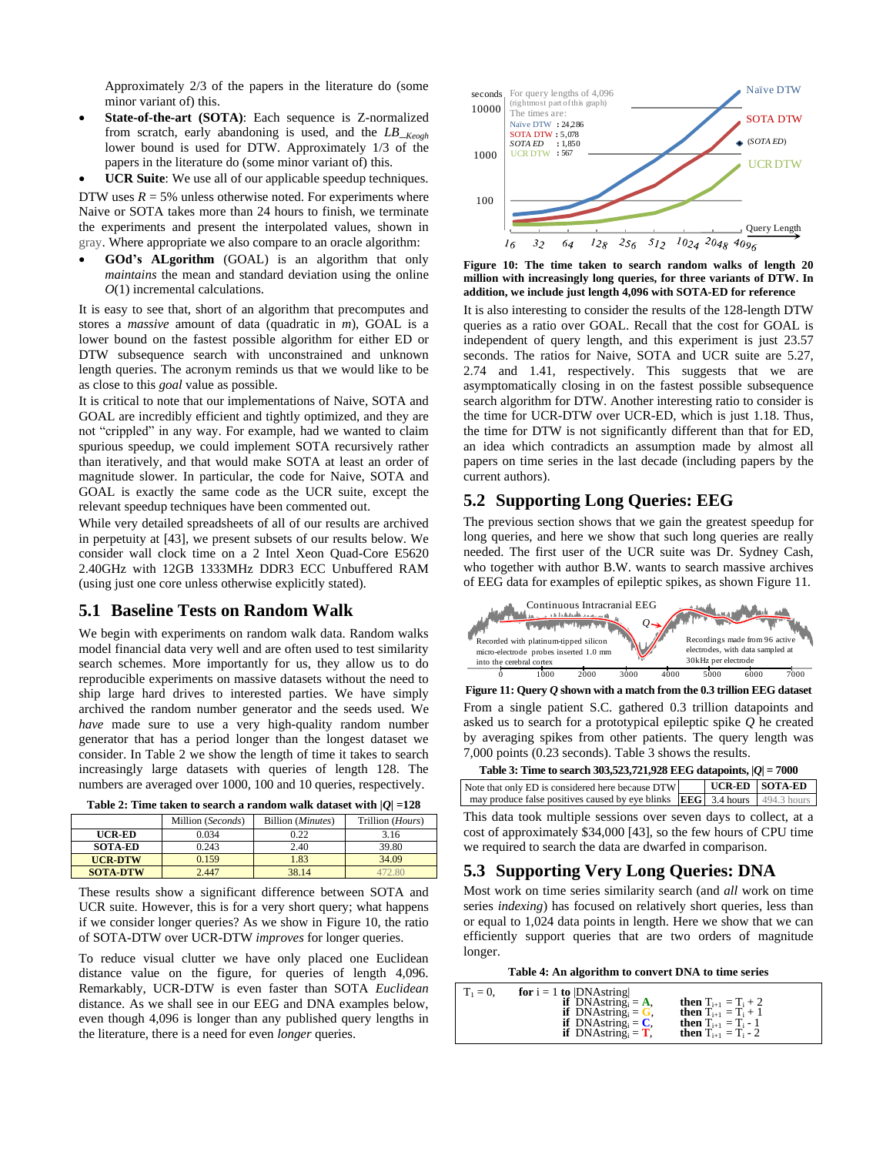Approximately 2/3 of the papers in the literature do (some minor variant of) this.

- **State-of-the-art (SOTA)**: Each sequence is Z-normalized from scratch, early abandoning is used, and the *LB\_Keogh* lower bound is used for DTW. Approximately 1/3 of the papers in the literature do (some minor variant of) this.
- **UCR Suite**: We use all of our applicable speedup techniques.

DTW uses  $R = 5\%$  unless otherwise noted. For experiments where Naive or SOTA takes more than 24 hours to finish, we terminate the experiments and present the interpolated values, shown in gray. Where appropriate we also compare to an oracle algorithm:

 **GOd's ALgorithm** (GOAL) is an algorithm that only *maintains* the mean and standard deviation using the online *O*(1) incremental calculations.

It is easy to see that, short of an algorithm that precomputes and stores a *massive* amount of data (quadratic in *m*), GOAL is a lower bound on the fastest possible algorithm for either ED or DTW subsequence search with unconstrained and unknown length queries. The acronym reminds us that we would like to be as close to this *goal* value as possible.

It is critical to note that our implementations of Naive, SOTA and GOAL are incredibly efficient and tightly optimized, and they are not "crippled" in any way. For example, had we wanted to claim spurious speedup, we could implement SOTA recursively rather than iteratively, and that would make SOTA at least an order of magnitude slower. In particular, the code for Naive, SOTA and GOAL is exactly the same code as the UCR suite, except the relevant speedup techniques have been commented out.

While very detailed spreadsheets of all of our results are archived in perpetuity at [\[43\],](#page-8-28) we present subsets of our results below. We consider wall clock time on a 2 Intel Xeon Quad-Core E5620 2.40GHz with 12GB 1333MHz DDR3 ECC Unbuffered RAM (using just one core unless otherwise explicitly stated).

## <span id="page-5-6"></span>**5.1 Baseline Tests on Random Walk**

We begin with experiments on random walk data. Random walks model financial data very well and are often used to test similarity search schemes. More importantly for us, they allow us to do reproducible experiments on massive datasets without the need to ship large hard drives to interested parties. We have simply archived the random number generator and the seeds used. We *have* made sure to use a very high-quality random number generator that has a period longer than the longest dataset we consider. In [Table 2](#page-5-1) we show the length of time it takes to search increasingly large datasets with queries of length 128. The numbers are averaged over 1000, 100 and 10 queries, respectively.

|                 |                   |                   | .                |  |
|-----------------|-------------------|-------------------|------------------|--|
|                 | Million (Seconds) | Billion (Minutes) | Trillion (Hours) |  |
| <b>UCR-ED</b>   | 0.034             | 0.22              | 3.16             |  |
| <b>SOTA-ED</b>  | 0.243             | 2.40              | 39.80            |  |
| <b>UCR-DTW</b>  | 0.159             | 1.83              | 34.09            |  |
| <b>SOTA-DTW</b> | 2.447             | 38.14             |                  |  |

<span id="page-5-1"></span>**Table 2: Time taken to search a random walk dataset with**  $|O|=128$ 

These results show a significant difference between SOTA and UCR suite. However, this is for a very short query; what happens if we consider longer queries? As we show in [Figure 10,](#page-5-2) the ratio of SOTA-DTW over UCR-DTW *improves* for longer queries.

To reduce visual clutter we have only placed one Euclidean distance value on the figure, for queries of length 4,096. Remarkably, UCR-DTW is even faster than SOTA *Euclidean* distance. As we shall see in our EEG and DNA examples below, even though 4,096 is longer than any published query lengths in the literature, there is a need for even *longer* queries.



<span id="page-5-2"></span>**Figure 10: The time taken to search random walks of length 20 million with increasingly long queries, for three variants of DTW. In addition, we include just length 4,096 with SOTA-ED for reference**

It is also interesting to consider the results of the 128-length DTW queries as a ratio over GOAL. Recall that the cost for GOAL is independent of query length, and this experiment is just 23.57 seconds. The ratios for Naive, SOTA and UCR suite are 5.27, 2.74 and 1.41, respectively. This suggests that we are asymptomatically closing in on the fastest possible subsequence search algorithm for DTW. Another interesting ratio to consider is the time for UCR-DTW over UCR-ED, which is just 1.18. Thus, the time for DTW is not significantly different than that for ED, an idea which contradicts an assumption made by almost all papers on time series in the last decade (including papers by the current authors).

# <span id="page-5-0"></span>**5.2 Supporting Long Queries: EEG**

The previous section shows that we gain the greatest speedup for long queries, and here we show that such long queries are really needed. The first user of the UCR suite was Dr. Sydney Cash, who together with author B.W. wants to search massive archives of EEG data for examples of epileptic spikes, as shown [Figure 11.](#page-5-3)



<span id="page-5-3"></span>**Figure 11: Query** *Q* **shown with a match from the 0.3 trillion EEG dataset** From a single patient S.C. gathered 0.3 trillion datapoints and asked us to search for a prototypical epileptic spike *Q* he created by averaging spikes from other patients. The query length was 7,000 points (0.23 seconds). [Table 3](#page-5-4) shows the results.

<span id="page-5-4"></span>

| Table 3: Time to search 303,523,721,928 EEG datapoints, $ Q  = 7000$ |  |
|----------------------------------------------------------------------|--|
|----------------------------------------------------------------------|--|

| Note that only ED is considered here because DTW                                  |  | UCR-ED SOTA-ED |
|-----------------------------------------------------------------------------------|--|----------------|
| may produce false positives caused by eye blinks <b>EEG</b> 3.4 hours 494.3 hours |  |                |

This data took multiple sessions over seven days to collect, at a cost of approximately \$34,000 [\[43\],](#page-8-28) so the few hours of CPU time we required to search the data are dwarfed in comparison.

# **5.3 Supporting Very Long Queries: DNA**

Most work on time series similarity search (and *all* work on time series *indexing*) has focused on relatively short queries, less than or equal to 1,024 data points in length. Here we show that we can efficiently support queries that are two orders of magnitude longer.

**Table 4: An algorithm to convert DNA to time series**

<span id="page-5-5"></span>

|  | <b>if</b> DNAstring $=$ <b>A</b> ,<br><b>if</b> DNAstring <sub>i</sub> = G<br><b>if</b> DNAstring $=$ <b>C</b> , | <b>then</b> $T_{i+1} = T_i + 2$<br><b>then</b> $T_{i+1} = T_i + 1$<br><b>then</b> $T_{i+1} = T_i - 1$ |                                 |
|--|------------------------------------------------------------------------------------------------------------------|-------------------------------------------------------------------------------------------------------|---------------------------------|
|  | $T_1 = 0$ ,                                                                                                      | for $i = 1$ to $ DNAstring $<br><b>if</b> DNAstring $=$ <b>T</b> ,                                    | <b>then</b> $T_{i+1} = T_i - 2$ |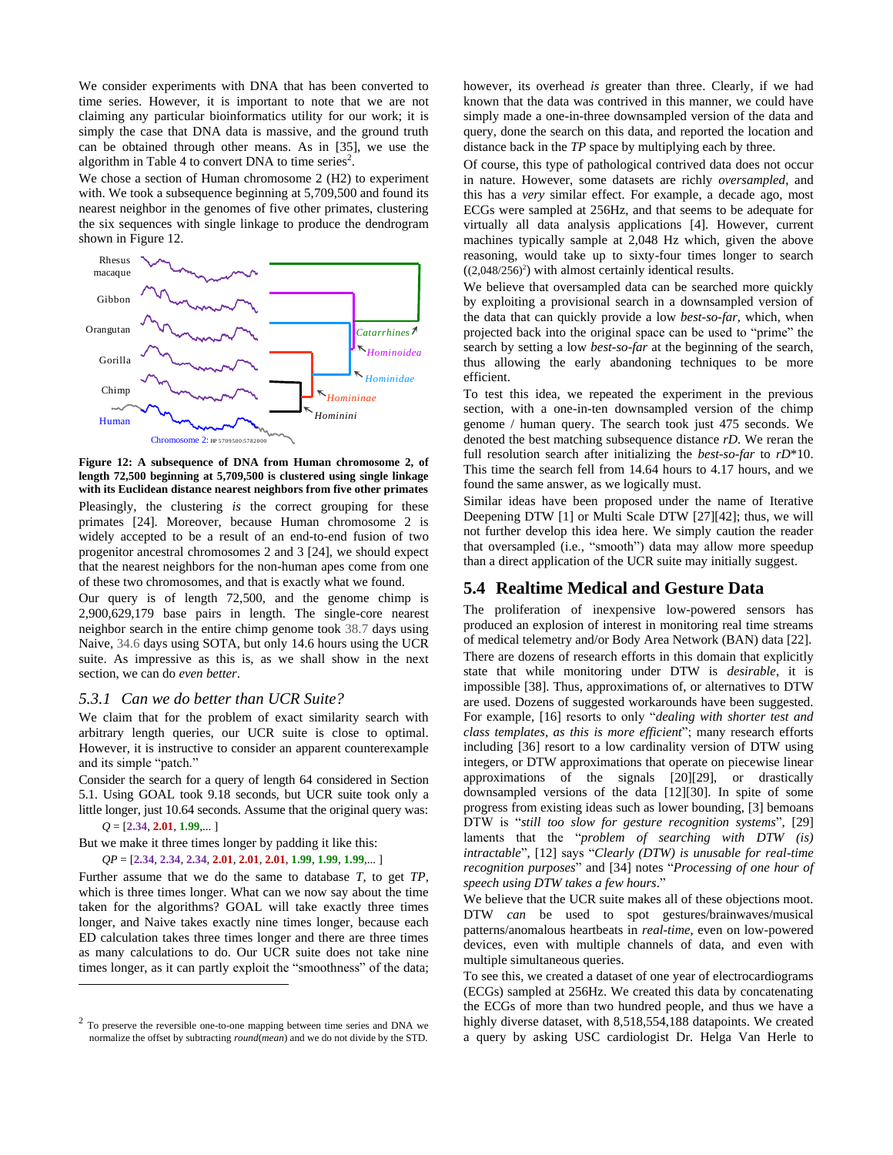We consider experiments with DNA that has been converted to time series. However, it is important to note that we are not claiming any particular bioinformatics utility for our work; it is simply the case that DNA data is massive, and the ground truth can be obtained through other means. As in [\[35\],](#page-8-15) we use the algorithm in [Table 4](#page-5-5) to convert DNA to time series<sup>2</sup>.

We chose a section of Human chromosome 2 (H2) to experiment with. We took a subsequence beginning at 5,709,500 and found its nearest neighbor in the genomes of five other primates, clustering the six sequences with single linkage to produce the dendrogram shown in [Figure 12.](#page-6-1)



<span id="page-6-1"></span>**Figure 12: A subsequence of DNA from Human chromosome 2, of length 72,500 beginning at 5,709,500 is clustered using single linkage with its Euclidean distance nearest neighbors from five other primates** 

Pleasingly, the clustering *is* the correct grouping for these primates [\[24\].](#page-8-29) Moreover, because Human chromosome 2 is widely accepted to be a result of an end-to-end fusion of two progenitor ancestral chromosomes 2 and 3 [\[24\],](#page-8-29) we should expect that the nearest neighbors for the non-human apes come from one of these two chromosomes, and that is exactly what we found.

Our query is of length 72,500, and the genome chimp is 2,900,629,179 base pairs in length. The single-core nearest neighbor search in the entire chimp genome took 38.7 days using Naive, 34.6 days using SOTA, but only 14.6 hours using the UCR suite. As impressive as this is, as we shall show in the next section, we can do *even better*.

# *5.3.1 Can we do better than UCR Suite?*

We claim that for the problem of exact similarity search with arbitrary length queries, our UCR suite is close to optimal. However, it is instructive to consider an apparent counterexample and its simple "patch."

Consider the search for a query of length 64 considered in Section [5.1.](#page-5-6) Using GOAL took 9.18 seconds, but UCR suite took only a little longer, just 10.64 seconds. Assume that the original query was:

## *Q* = [**2.34**, **2.01**, **1.99**,... ]

 $\overline{a}$ 

But we make it three times longer by padding it like this:

```
 QP = [2.34, 2.34, 2.34, 2.01, 2.01, 2.01, 1.99, 1.99, 1.99,... ]
```
Further assume that we do the same to database *T*, to get *TP*, which is three times longer. What can we now say about the time taken for the algorithms? GOAL will take exactly three times longer, and Naive takes exactly nine times longer, because each ED calculation takes three times longer and there are three times as many calculations to do. Our UCR suite does not take nine times longer, as it can partly exploit the "smoothness" of the data; however, its overhead *is* greater than three. Clearly, if we had known that the data was contrived in this manner, we could have simply made a one-in-three downsampled version of the data and query, done the search on this data, and reported the location and distance back in the *TP* space by multiplying each by three.

Of course, this type of pathological contrived data does not occur in nature. However, some datasets are richly *oversampled*, and this has a *very* similar effect. For example, a decade ago, most ECGs were sampled at 256Hz, and that seems to be adequate for virtually all data analysis applications [\[4\].](#page-8-30) However, current machines typically sample at 2,048 Hz which, given the above reasoning, would take up to sixty-four times longer to search  $((2,048/256)^2)$  with almost certainly identical results.

We believe that oversampled data can be searched more quickly by exploiting a provisional search in a downsampled version of the data that can quickly provide a low *best-so-far*, which, when projected back into the original space can be used to "prime" the search by setting a low *best-so-far* at the beginning of the search, thus allowing the early abandoning techniques to be more efficient.

To test this idea, we repeated the experiment in the previous section, with a one-in-ten downsampled version of the chimp genome / human query. The search took just 475 seconds. We denoted the best matching subsequence distance *rD*. We reran the full resolution search after initializing the *best-so-far* to *rD*\*10. This time the search fell from 14.64 hours to 4.17 hours, and we found the same answer, as we logically must.

Similar ideas have been proposed under the name of Iterative Deepening DTW [\[1\]](#page-8-2) or Multi Scale DTW [\[27\]\[42\];](#page-8-31) thus, we will not further develop this idea here. We simply caution the reader that oversampled (i.e., "smooth") data may allow more speedup than a direct application of the UCR suite may initially suggest.

## <span id="page-6-0"></span>**5.4 Realtime Medical and Gesture Data**

The proliferation of inexpensive low-powered sensors has produced an explosion of interest in monitoring real time streams of medical telemetry and/or Body Area Network (BAN) data [\[22\].](#page-8-32) There are dozens of research efforts in this domain that explicitly state that while monitoring under DTW is *desirable*, it is impossible [\[38\].](#page-8-11) Thus, approximations of, or alternatives to DTW are used. Dozens of suggested workarounds have been suggested. For example, [\[16\]](#page-8-5) resorts to only "*dealing with shorter test and class templates, as this is more efficient*"; many research efforts including [\[36\]](#page-8-33) resort to a low cardinality version of DTW using integers, or DTW approximations that operate on piecewise linear approximations of the signals [\[20\]\[29\],](#page-8-9) or drastically downsampled versions of the data [\[12\]\[30\].](#page-8-34) In spite of some progress from existing ideas such as lower bounding, [\[3\]](#page-8-4) bemoans DTW is "*still too slow for gesture recognition systems*", [\[29\]](#page-8-6) laments that the "*problem of searching with DTW (is) intractable*", [\[12\]](#page-8-34) says "*Clearly (DTW) is unusable for real-time recognition purposes*" and [\[34\]](#page-8-25) notes "*Processing of one hour of speech using DTW takes a few hours*."

We believe that the UCR suite makes all of these objections moot. DTW *can* be used to spot gestures/brainwaves/musical patterns/anomalous heartbeats in *real-time*, even on low-powered devices, even with multiple channels of data, and even with multiple simultaneous queries.

To see this, we created a dataset of one year of electrocardiograms (ECGs) sampled at 256Hz. We created this data by concatenating the ECGs of more than two hundred people, and thus we have a highly diverse dataset, with 8,518,554,188 datapoints. We created a query by asking USC cardiologist Dr. Helga Van Herle to

 $2^2$  To preserve the reversible one-to-one mapping between time series and DNA we normalize the offset by subtracting *round*(*mean*) and we do not divide by the STD.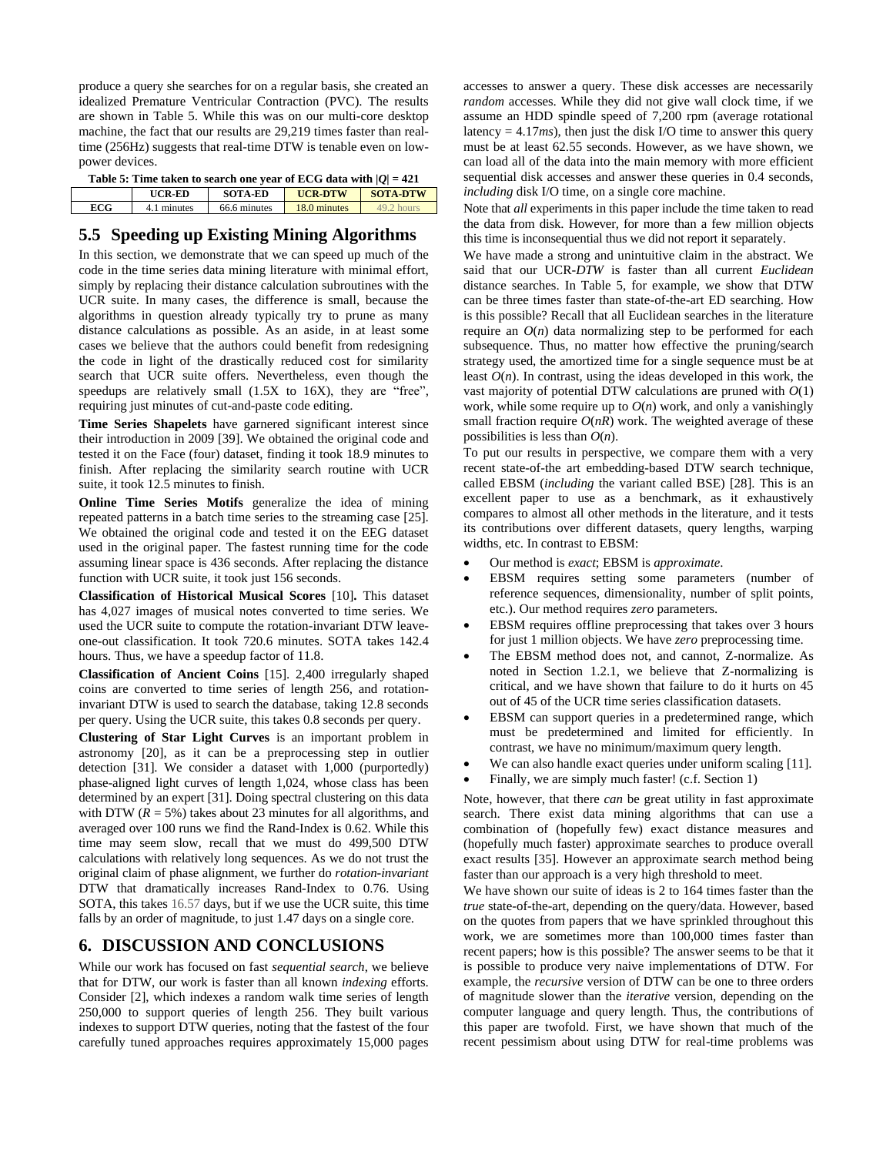produce a query she searches for on a regular basis, she created an idealized Premature Ventricular Contraction (PVC). The results are shown in [Table 5.](#page-7-0) While this was on our multi-core desktop machine, the fact that our results are 29,219 times faster than realtime (256Hz) suggests that real-time DTW is tenable even on lowpower devices.

<span id="page-7-0"></span>

| Table 5: Time taken to search one year of ECG data with $ Q  = 421$ |  |  |
|---------------------------------------------------------------------|--|--|
|---------------------------------------------------------------------|--|--|

|     | UCR-ED  | <b>SOTA-ED</b> | <b>UCR-DTW</b> | <b>SOTA-DTW</b> |
|-----|---------|----------------|----------------|-----------------|
| ECG | minutes | 66.6 minutes   | 18.0 minutes   | hours           |
|     |         |                |                |                 |

## **5.5 Speeding up Existing Mining Algorithms**

In this section, we demonstrate that we can speed up much of the code in the time series data mining literature with minimal effort, simply by replacing their distance calculation subroutines with the UCR suite. In many cases, the difference is small, because the algorithms in question already typically try to prune as many distance calculations as possible. As an aside, in at least some cases we believe that the authors could benefit from redesigning the code in light of the drastically reduced cost for similarity search that UCR suite offers. Nevertheless, even though the speedups are relatively small (1.5X to 16X), they are "free", requiring just minutes of cut-and-paste code editing.

**Time Series Shapelets** have garnered significant interest since their introduction in 200[9 \[39\].](#page-8-35) We obtained the original code and tested it on the Face (four) dataset, finding it took 18.9 minutes to finish. After replacing the similarity search routine with UCR suite, it took 12.5 minutes to finish.

**Online Time Series Motifs** generalize the idea of mining repeated patterns in a batch time series to the streaming case [\[25\].](#page-8-36) We obtained the original code and tested it on the EEG dataset used in the original paper. The fastest running time for the code assuming linear space is 436 seconds. After replacing the distance function with UCR suite, it took just 156 seconds.

**Classification of Historical Musical Scores** [\[10\]](#page-8-37)**.** This dataset has 4,027 images of musical notes converted to time series. We used the UCR suite to compute the rotation-invariant DTW leaveone-out classification. It took 720.6 minutes. SOTA takes 142.4 hours. Thus, we have a speedup factor of 11.8.

**Classification of Ancient Coins** [\[15\].](#page-8-8) 2,400 irregularly shaped coins are converted to time series of length 256, and rotationinvariant DTW is used to search the database, taking 12.8 seconds per query. Using the UCR suite, this takes 0.8 seconds per query.

**Clustering of Star Light Curves** is an important problem in astronomy [\[20\],](#page-8-9) as it can be a preprocessing step in outlier detection [\[31\].](#page-8-38) We consider a dataset with 1,000 (purportedly) phase-aligned light curves of length 1,024, whose class has been determined by an expert [\[31\].](#page-8-38) Doing spectral clustering on this data with DTW  $(R = 5\%)$  takes about 23 minutes for all algorithms, and averaged over 100 runs we find the Rand-Index is 0.62. While this time may seem slow, recall that we must do 499,500 DTW calculations with relatively long sequences. As we do not trust the original claim of phase alignment, we further do *rotation-invariant* DTW that dramatically increases Rand-Index to 0.76. Using SOTA, this takes 16.57 days, but if we use the UCR suite, this time falls by an order of magnitude, to just 1.47 days on a single core.

# **6. DISCUSSION AND CONCLUSIONS**

While our work has focused on fast *sequential search*, we believe that for DTW, our work is faster than all known *indexing* efforts. Consider [\[2\],](#page-8-18) which indexes a random walk time series of length 250,000 to support queries of length 256. They built various indexes to support DTW queries, noting that the fastest of the four carefully tuned approaches requires approximately 15,000 pages accesses to answer a query. These disk accesses are necessarily *random* accesses. While they did not give wall clock time, if we assume an HDD spindle speed of 7,200 rpm (average rotational latency  $= 4.17$ *ms*), then just the disk I/O time to answer this query must be at least 62.55 seconds. However, as we have shown, we can load all of the data into the main memory with more efficient sequential disk accesses and answer these queries in 0.4 seconds, *including* disk I/O time, on a single core machine.

Note that *all* experiments in this paper include the time taken to read the data from disk. However, for more than a few million objects this time is inconsequential thus we did not report it separately.

We have made a strong and unintuitive claim in the abstract. We said that our UCR-*DTW* is faster than all current *Euclidean* distance searches. In [Table 5,](#page-7-0) for example, we show that DTW can be three times faster than state-of-the-art ED searching. How is this possible? Recall that all Euclidean searches in the literature require an  $O(n)$  data normalizing step to be performed for each subsequence. Thus, no matter how effective the pruning/search strategy used, the amortized time for a single sequence must be at least  $O(n)$ . In contrast, using the ideas developed in this work, the vast majority of potential DTW calculations are pruned with *O*(1) work, while some require up to  $O(n)$  work, and only a vanishingly small fraction require  $O(nR)$  work. The weighted average of these possibilities is less than *O*(*n*).

To put our results in perspective, we compare them with a very recent state-of-the art embedding-based DTW search technique, called EBSM (*including* the variant called BSE) [\[28\].](#page-8-10) This is an excellent paper to use as a benchmark, as it exhaustively compares to almost all other methods in the literature, and it tests its contributions over different datasets, query lengths, warping widths, etc. In contrast to EBSM:

- Our method is *exact*; EBSM is *approximate*.
- EBSM requires setting some parameters (number of reference sequences, dimensionality, number of split points, etc.). Our method requires *zero* parameters.
- EBSM requires offline preprocessing that takes over 3 hours for just 1 million objects. We have *zero* preprocessing time.
- The EBSM method does not, and cannot, Z-normalize. As noted in Section [1.2.1,](#page-1-1) we believe that Z-normalizing is critical, and we have shown that failure to do it hurts on 45 out of 45 of the UCR time series classification datasets.
- EBSM can support queries in a predetermined range, which must be predetermined and limited for efficiently. In contrast, we have no minimum/maximum query length.
- We can also handle exact queries under uniform scalin[g \[11\].](#page-8-24)
- Finally, we are simply much faster! (c.f. Section 1)

Note, however, that there *can* be great utility in fast approximate search. There exist data mining algorithms that can use a combination of (hopefully few) exact distance measures and (hopefully much faster) approximate searches to produce overall exact results [\[35\].](#page-8-15) However an approximate search method being faster than our approach is a very high threshold to meet.

We have shown our suite of ideas is 2 to 164 times faster than the *true* state-of-the-art, depending on the query/data. However, based on the quotes from papers that we have sprinkled throughout this work, we are sometimes more than 100,000 times faster than recent papers; how is this possible? The answer seems to be that it is possible to produce very naive implementations of DTW. For example, the *recursive* version of DTW can be one to three orders of magnitude slower than the *iterative* version, depending on the computer language and query length. Thus, the contributions of this paper are twofold. First, we have shown that much of the recent pessimism about using DTW for real-time problems was